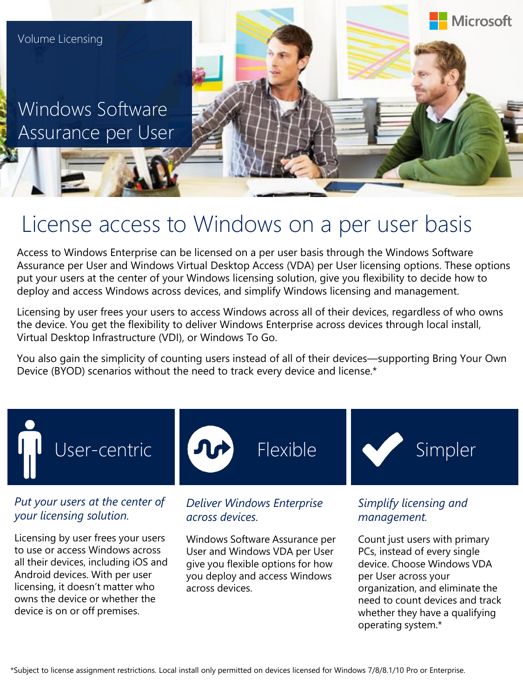Windows Software Assurance per User



# License access to Windows on a per user basis

Access to Windows Enterprise can be licensed on a per user basis through the Windows Software Assurance per User and Windows Virtual Desktop Access (VDA) per User licensing options. These options put your users at the center of your Windows licensing solution, give you flexibility to decide how to deploy and access Windows across devices, and simplify Windows licensing and management.

Licensing by user frees your users to access Windows across all of their devices, regardless of who owns the device. You get the flexibility to deliver Windows Enterprise across devices through local install, Virtual Desktop Infrastructure (VDI), or Windows To Go.

You also gain the simplicity of counting users instead of all of their devices—supporting Bring Your Own Device (BYOD) scenarios without the need to track every device and license.\*



Licensing by user frees your users to use or access Windows across all their devices, including iOS and Android devices. With per user licensing, it doesn't matter who owns the device or whether the device is on or off premises.

Windows Software Assurance per User and Windows VDA per User give you flexible options for how you deploy and access Windows across devices.

*management.*

Count just users with primary PCs, instead of every single device. Choose Windows VDA per User across your organization, and eliminate the need to count devices and track whether they have a qualifying operating system.\*